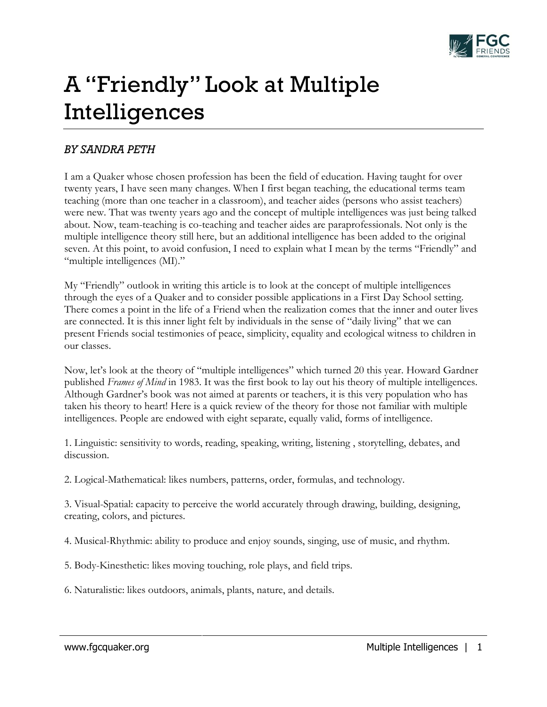

## A "Friendly" Look at Multiple Intelligences

## *BY SANDRA PETH*

I am a Quaker whose chosen profession has been the field of education. Having taught for over twenty years, I have seen many changes. When I first began teaching, the educational terms team teaching (more than one teacher in a classroom), and teacher aides (persons who assist teachers) were new. That was twenty years ago and the concept of multiple intelligences was just being talked about. Now, team-teaching is co-teaching and teacher aides are paraprofessionals. Not only is the multiple intelligence theory still here, but an additional intelligence has been added to the original seven. At this point, to avoid confusion, I need to explain what I mean by the terms "Friendly" and "multiple intelligences (MI)."

My "Friendly" outlook in writing this article is to look at the concept of multiple intelligences through the eyes of a Quaker and to consider possible applications in a First Day School setting. There comes a point in the life of a Friend when the realization comes that the inner and outer lives are connected. It is this inner light felt by individuals in the sense of "daily living" that we can present Friends social testimonies of peace, simplicity, equality and ecological witness to children in our classes.

Now, let's look at the theory of "multiple intelligences" which turned 20 this year. Howard Gardner published *Frames of Mind* in 1983. It was the first book to lay out his theory of multiple intelligences. Although Gardner's book was not aimed at parents or teachers, it is this very population who has taken his theory to heart! Here is a quick review of the theory for those not familiar with multiple intelligences. People are endowed with eight separate, equally valid, forms of intelligence.

1. Linguistic: sensitivity to words, reading, speaking, writing, listening , storytelling, debates, and discussion.

2. Logical-Mathematical: likes numbers, patterns, order, formulas, and technology.

3. Visual-Spatial: capacity to perceive the world accurately through drawing, building, designing, creating, colors, and pictures.

4. Musical-Rhythmic: ability to produce and enjoy sounds, singing, use of music, and rhythm.

- 5. Body-Kinesthetic: likes moving touching, role plays, and field trips.
- 6. Naturalistic: likes outdoors, animals, plants, nature, and details.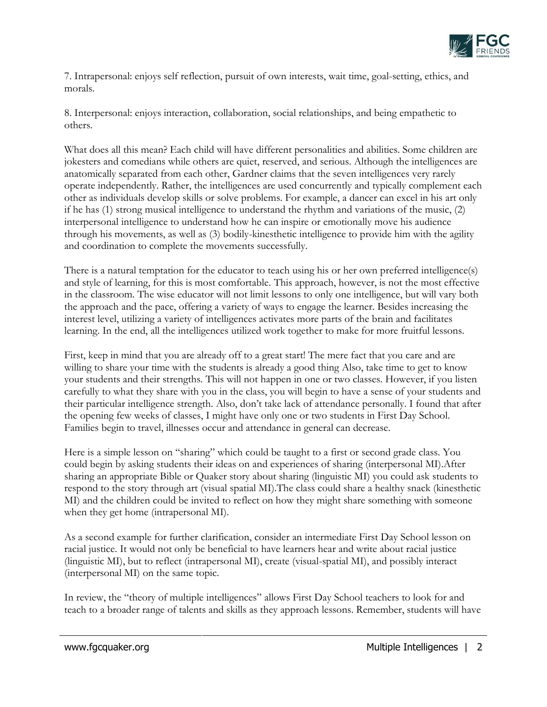

7. Intrapersonal: enjoys self reflection, pursuit of own interests, wait time, goal-setting, ethics, and morals.

8. Interpersonal: enjoys interaction, collaboration, social relationships, and being empathetic to others.

What does all this mean? Each child will have different personalities and abilities. Some children are jokesters and comedians while others are quiet, reserved, and serious. Although the intelligences are anatomically separated from each other, Gardner claims that the seven intelligences very rarely operate independently. Rather, the intelligences are used concurrently and typically complement each other as individuals develop skills or solve problems. For example, a dancer can excel in his art only if he has (1) strong musical intelligence to understand the rhythm and variations of the music, (2) interpersonal intelligence to understand how he can inspire or emotionally move his audience through his movements, as well as (3) bodily-kinesthetic intelligence to provide him with the agility and coordination to complete the movements successfully.

There is a natural temptation for the educator to teach using his or her own preferred intelligence(s) and style of learning, for this is most comfortable. This approach, however, is not the most effective in the classroom. The wise educator will not limit lessons to only one intelligence, but will vary both the approach and the pace, offering a variety of ways to engage the learner. Besides increasing the interest level, utilizing a variety of intelligences activates more parts of the brain and facilitates learning. In the end, all the intelligences utilized work together to make for more fruitful lessons.

First, keep in mind that you are already off to a great start! The mere fact that you care and are willing to share your time with the students is already a good thing Also, take time to get to know your students and their strengths. This will not happen in one or two classes. However, if you listen carefully to what they share with you in the class, you will begin to have a sense of your students and their particular intelligence strength. Also, don't take lack of attendance personally. I found that after the opening few weeks of classes, I might have only one or two students in First Day School. Families begin to travel, illnesses occur and attendance in general can decrease.

Here is a simple lesson on "sharing" which could be taught to a first or second grade class. You could begin by asking students their ideas on and experiences of sharing (interpersonal MI).After sharing an appropriate Bible or Quaker story about sharing (linguistic MI) you could ask students to respond to the story through art (visual spatial MI).The class could share a healthy snack (kinesthetic MI) and the children could be invited to reflect on how they might share something with someone when they get home (intrapersonal MI).

As a second example for further clarification, consider an intermediate First Day School lesson on racial justice. It would not only be beneficial to have learners hear and write about racial justice (linguistic MI), but to reflect (intrapersonal MI), create (visual-spatial MI), and possibly interact (interpersonal MI) on the same topic.

In review, the "theory of multiple intelligences" allows First Day School teachers to look for and teach to a broader range of talents and skills as they approach lessons. Remember, students will have